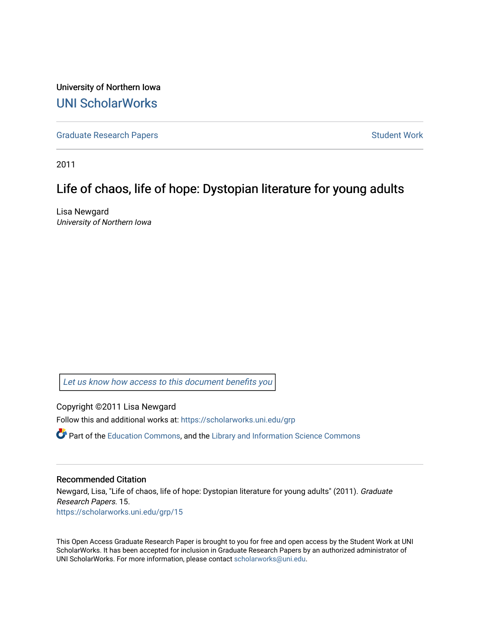University of Northern Iowa [UNI ScholarWorks](https://scholarworks.uni.edu/) 

[Graduate Research Papers](https://scholarworks.uni.edu/grp) **Student Work** Student Work

2011

# Life of chaos, life of hope: Dystopian literature for young adults

Lisa Newgard University of Northern Iowa

[Let us know how access to this document benefits you](https://scholarworks.uni.edu/feedback_form.html) 

Copyright ©2011 Lisa Newgard

Follow this and additional works at: [https://scholarworks.uni.edu/grp](https://scholarworks.uni.edu/grp?utm_source=scholarworks.uni.edu%2Fgrp%2F15&utm_medium=PDF&utm_campaign=PDFCoverPages) 

 $\bullet$  Part of the [Education Commons](http://network.bepress.com/hgg/discipline/784?utm_source=scholarworks.uni.edu%2Fgrp%2F15&utm_medium=PDF&utm_campaign=PDFCoverPages), and the Library and Information Science Commons

### Recommended Citation

Newgard, Lisa, "Life of chaos, life of hope: Dystopian literature for young adults" (2011). Graduate Research Papers. 15. [https://scholarworks.uni.edu/grp/15](https://scholarworks.uni.edu/grp/15?utm_source=scholarworks.uni.edu%2Fgrp%2F15&utm_medium=PDF&utm_campaign=PDFCoverPages)

This Open Access Graduate Research Paper is brought to you for free and open access by the Student Work at UNI ScholarWorks. It has been accepted for inclusion in Graduate Research Papers by an authorized administrator of UNI ScholarWorks. For more information, please contact [scholarworks@uni.edu.](mailto:scholarworks@uni.edu)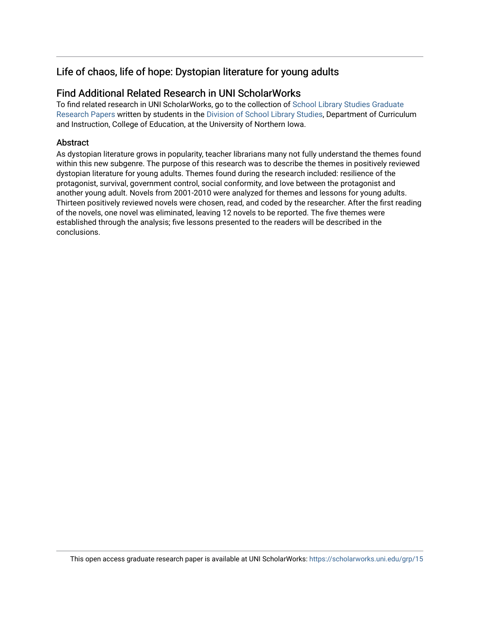# Life of chaos, life of hope: Dystopian literature for young adults

# Find Additional Related Research in UNI ScholarWorks

To find related research in UNI ScholarWorks, go to the collection of [School Library Studies Graduate](http://scholarworks.uni.edu/sls_grp/) [Research Papers](http://scholarworks.uni.edu/sls_grp/) written by students in the [Division of School Library Studies,](http://scholarworks.uni.edu/sls/) Department of Curriculum and Instruction, College of Education, at the University of Northern Iowa.

# **Abstract**

As dystopian literature grows in popularity, teacher librarians many not fully understand the themes found within this new subgenre. The purpose of this research was to describe the themes in positively reviewed dystopian literature for young adults. Themes found during the research included: resilience of the protagonist, survival, government control, social conformity, and love between the protagonist and another young adult. Novels from 2001-2010 were analyzed for themes and lessons for young adults. Thirteen positively reviewed novels were chosen, read, and coded by the researcher. After the first reading of the novels, one novel was eliminated, leaving 12 novels to be reported. The five themes were established through the analysis; five lessons presented to the readers will be described in the conclusions.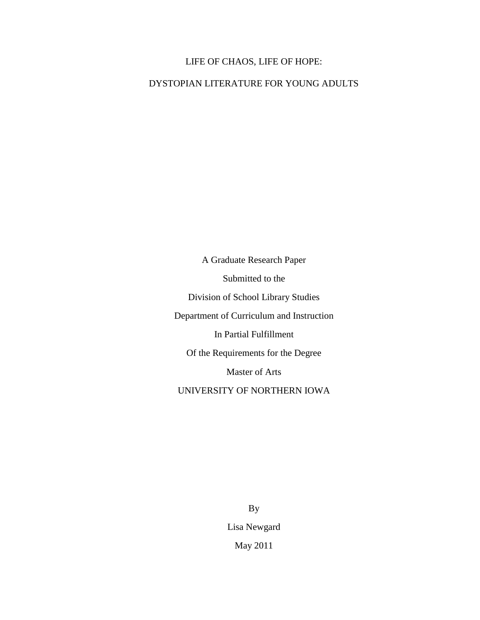# LIFE OF CHAOS, LIFE OF HOPE:

DYSTOPIAN LITERATURE FOR YOUNG ADULTS

A Graduate Research Paper Submitted to the Division of School Library Studies Department of Curriculum and Instruction In Partial Fulfillment Of the Requirements for the Degree Master of Arts UNIVERSITY OF NORTHERN IOWA

> By Lisa Newgard May 2011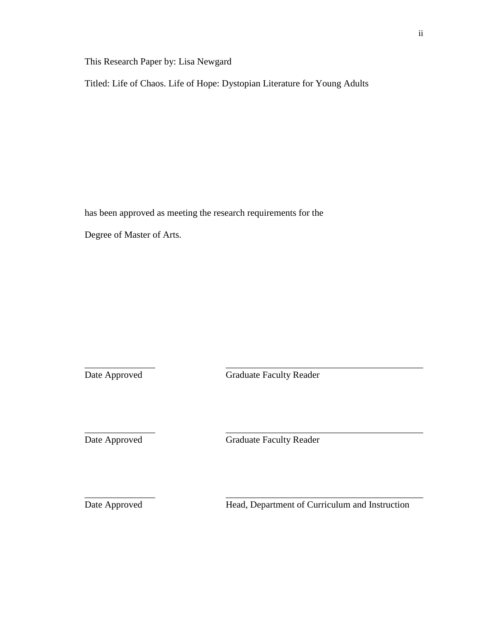This Research Paper by: Lisa Newgard

Titled: Life of Chaos. Life of Hope: Dystopian Literature for Young Adults

has been approved as meeting the research requirements for the Degree of Master of Arts.

Date Approved Graduate Faculty Reader

\_\_\_\_\_\_\_\_\_\_\_\_\_\_\_ \_\_\_\_\_\_\_\_\_\_\_\_\_\_\_\_\_\_\_\_\_\_\_\_\_\_\_\_\_\_\_\_\_\_\_\_\_\_\_\_\_\_

\_\_\_\_\_\_\_\_\_\_\_\_\_\_\_ \_\_\_\_\_\_\_\_\_\_\_\_\_\_\_\_\_\_\_\_\_\_\_\_\_\_\_\_\_\_\_\_\_\_\_\_\_\_\_\_\_\_

\_\_\_\_\_\_\_\_\_\_\_\_\_\_\_ \_\_\_\_\_\_\_\_\_\_\_\_\_\_\_\_\_\_\_\_\_\_\_\_\_\_\_\_\_\_\_\_\_\_\_\_\_\_\_\_\_\_

Date Approved Graduate Faculty Reader

Date Approved Head, Department of Curriculum and Instruction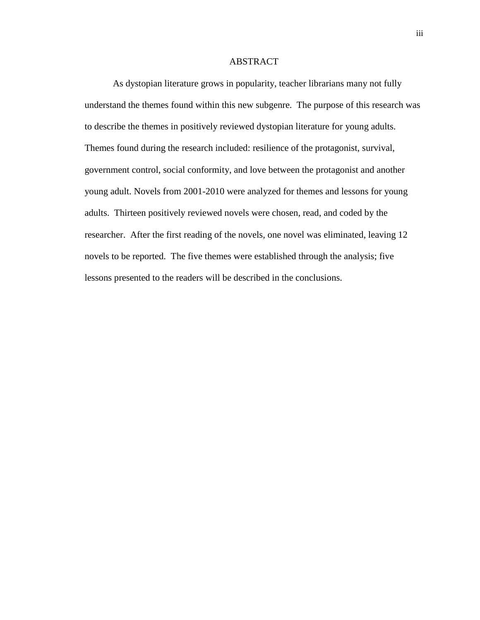## ABSTRACT

As dystopian literature grows in popularity, teacher librarians many not fully understand the themes found within this new subgenre. The purpose of this research was to describe the themes in positively reviewed dystopian literature for young adults. Themes found during the research included: resilience of the protagonist, survival, government control, social conformity, and love between the protagonist and another young adult. Novels from 2001-2010 were analyzed for themes and lessons for young adults. Thirteen positively reviewed novels were chosen, read, and coded by the researcher. After the first reading of the novels, one novel was eliminated, leaving 12 novels to be reported. The five themes were established through the analysis; five lessons presented to the readers will be described in the conclusions.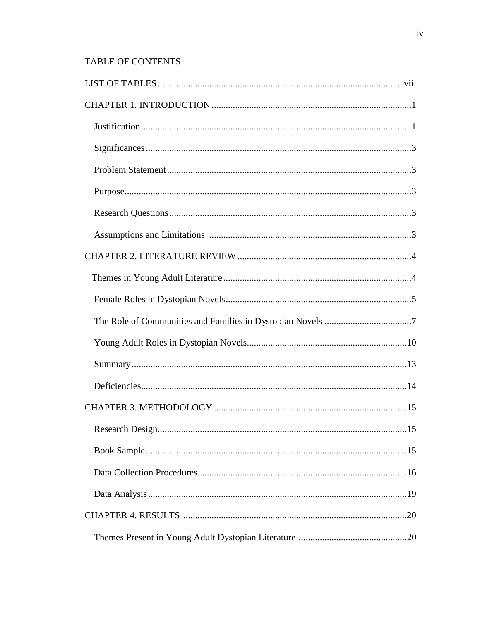# **TABLE OF CONTENTS**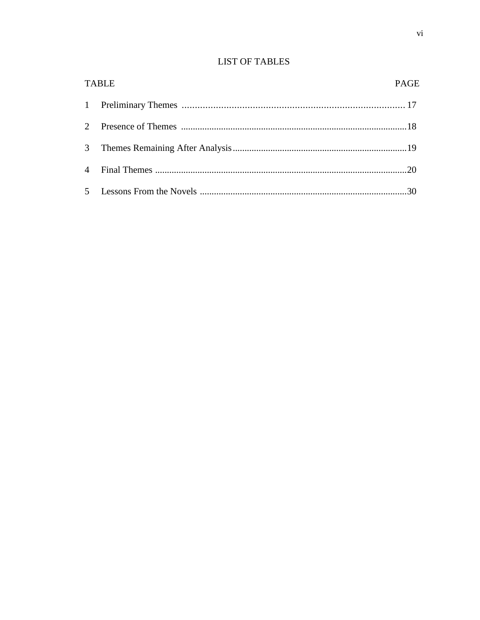# **LIST OF TABLES**

|                | <b>TABLE</b> | <b>PAGE</b> |
|----------------|--------------|-------------|
|                |              |             |
| $2^{\circ}$    |              |             |
|                |              |             |
| $\overline{4}$ |              |             |
|                |              |             |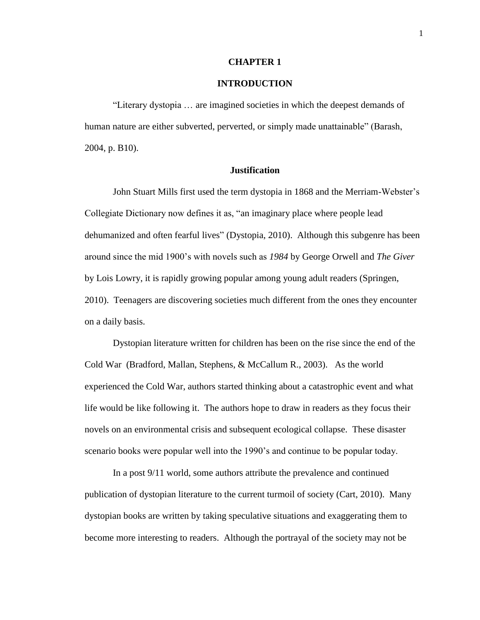### **CHAPTER 1**

# **INTRODUCTION**

"Literary dystopia … are imagined societies in which the deepest demands of human nature are either subverted, perverted, or simply made unattainable" (Barash, 2004, p. B10).

#### **Justification**

John Stuart Mills first used the term dystopia in 1868 and the Merriam-Webster's Collegiate Dictionary now defines it as, "an imaginary place where people lead dehumanized and often fearful lives" (Dystopia, 2010). Although this subgenre has been around since the mid 1900's with novels such as *1984* by George Orwell and *The Giver* by Lois Lowry, it is rapidly growing popular among young adult readers (Springen, 2010). Teenagers are discovering societies much different from the ones they encounter on a daily basis.

Dystopian literature written for children has been on the rise since the end of the Cold War (Bradford, Mallan, Stephens, & McCallum R., 2003). As the world experienced the Cold War, authors started thinking about a catastrophic event and what life would be like following it. The authors hope to draw in readers as they focus their novels on an environmental crisis and subsequent ecological collapse. These disaster scenario books were popular well into the 1990's and continue to be popular today.

In a post 9/11 world, some authors attribute the prevalence and continued publication of dystopian literature to the current turmoil of society (Cart, 2010). Many dystopian books are written by taking speculative situations and exaggerating them to become more interesting to readers. Although the portrayal of the society may not be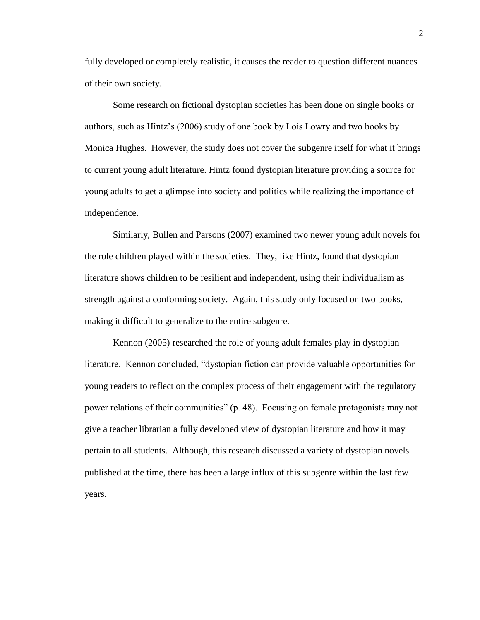fully developed or completely realistic, it causes the reader to question different nuances of their own society.

Some research on fictional dystopian societies has been done on single books or authors, such as Hintz's (2006) study of one book by Lois Lowry and two books by Monica Hughes. However, the study does not cover the subgenre itself for what it brings to current young adult literature. Hintz found dystopian literature providing a source for young adults to get a glimpse into society and politics while realizing the importance of independence.

Similarly, Bullen and Parsons (2007) examined two newer young adult novels for the role children played within the societies. They, like Hintz, found that dystopian literature shows children to be resilient and independent, using their individualism as strength against a conforming society. Again, this study only focused on two books, making it difficult to generalize to the entire subgenre.

Kennon (2005) researched the role of young adult females play in dystopian literature. Kennon concluded, "dystopian fiction can provide valuable opportunities for young readers to reflect on the complex process of their engagement with the regulatory power relations of their communities" (p. 48). Focusing on female protagonists may not give a teacher librarian a fully developed view of dystopian literature and how it may pertain to all students. Although, this research discussed a variety of dystopian novels published at the time, there has been a large influx of this subgenre within the last few years.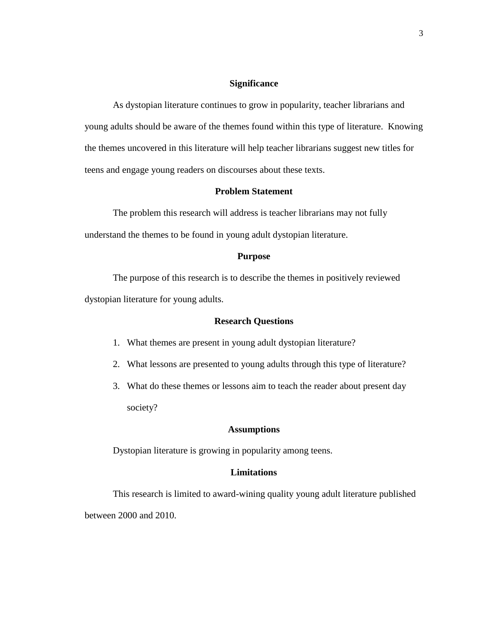# **Significance**

As dystopian literature continues to grow in popularity, teacher librarians and young adults should be aware of the themes found within this type of literature. Knowing the themes uncovered in this literature will help teacher librarians suggest new titles for teens and engage young readers on discourses about these texts.

# **Problem Statement**

The problem this research will address is teacher librarians may not fully understand the themes to be found in young adult dystopian literature.

# **Purpose**

The purpose of this research is to describe the themes in positively reviewed dystopian literature for young adults.

## **Research Questions**

- 1. What themes are present in young adult dystopian literature?
- 2. What lessons are presented to young adults through this type of literature?
- 3. What do these themes or lessons aim to teach the reader about present day society?

### **Assumptions**

Dystopian literature is growing in popularity among teens.

### **Limitations**

This research is limited to award-wining quality young adult literature published between 2000 and 2010.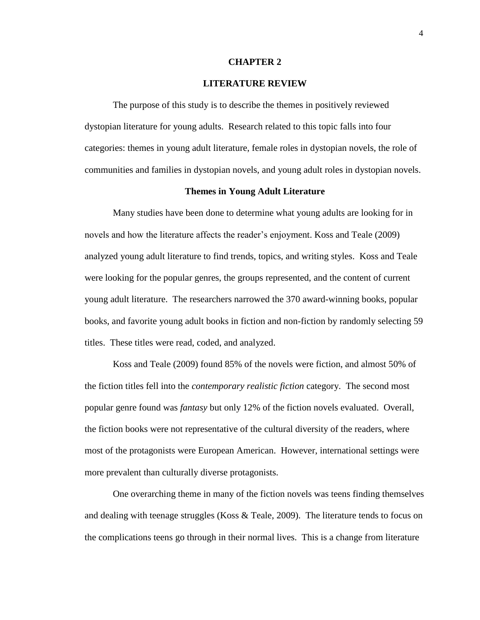#### **CHAPTER 2**

# **LITERATURE REVIEW**

The purpose of this study is to describe the themes in positively reviewed dystopian literature for young adults. Research related to this topic falls into four categories: themes in young adult literature, female roles in dystopian novels, the role of communities and families in dystopian novels, and young adult roles in dystopian novels.

#### **Themes in Young Adult Literature**

Many studies have been done to determine what young adults are looking for in novels and how the literature affects the reader's enjoyment. Koss and Teale (2009) analyzed young adult literature to find trends, topics, and writing styles. Koss and Teale were looking for the popular genres, the groups represented, and the content of current young adult literature. The researchers narrowed the 370 award-winning books, popular books, and favorite young adult books in fiction and non-fiction by randomly selecting 59 titles. These titles were read, coded, and analyzed.

Koss and Teale (2009) found 85% of the novels were fiction, and almost 50% of the fiction titles fell into the *contemporary realistic fiction* category. The second most popular genre found was *fantasy* but only 12% of the fiction novels evaluated. Overall, the fiction books were not representative of the cultural diversity of the readers, where most of the protagonists were European American. However, international settings were more prevalent than culturally diverse protagonists.

One overarching theme in many of the fiction novels was teens finding themselves and dealing with teenage struggles (Koss & Teale, 2009). The literature tends to focus on the complications teens go through in their normal lives. This is a change from literature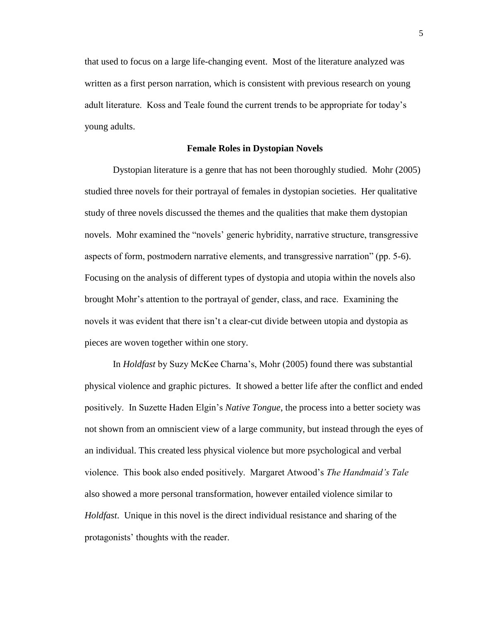that used to focus on a large life-changing event. Most of the literature analyzed was written as a first person narration, which is consistent with previous research on young adult literature. Koss and Teale found the current trends to be appropriate for today's young adults.

#### **Female Roles in Dystopian Novels**

Dystopian literature is a genre that has not been thoroughly studied. Mohr (2005) studied three novels for their portrayal of females in dystopian societies. Her qualitative study of three novels discussed the themes and the qualities that make them dystopian novels. Mohr examined the "novels' generic hybridity, narrative structure, transgressive aspects of form, postmodern narrative elements, and transgressive narration" (pp. 5-6). Focusing on the analysis of different types of dystopia and utopia within the novels also brought Mohr's attention to the portrayal of gender, class, and race. Examining the novels it was evident that there isn't a clear-cut divide between utopia and dystopia as pieces are woven together within one story.

In *Holdfast* by Suzy McKee Charna's, Mohr (2005) found there was substantial physical violence and graphic pictures. It showed a better life after the conflict and ended positively. In Suzette Haden Elgin's *Native Tongue*, the process into a better society was not shown from an omniscient view of a large community, but instead through the eyes of an individual. This created less physical violence but more psychological and verbal violence. This book also ended positively. Margaret Atwood's *The Handmaid's Tale* also showed a more personal transformation, however entailed violence similar to *Holdfast*. Unique in this novel is the direct individual resistance and sharing of the protagonists' thoughts with the reader.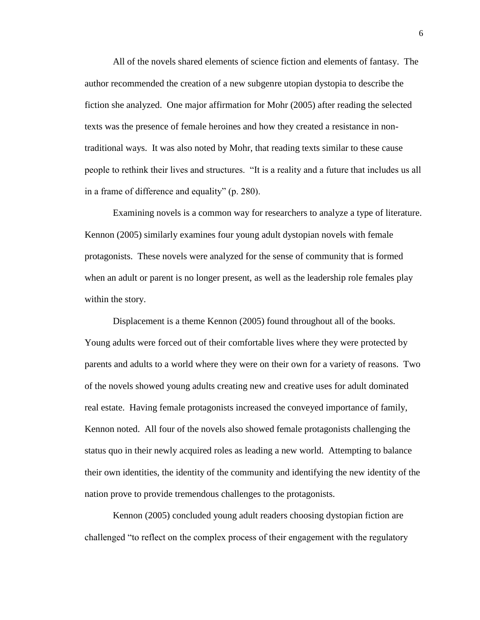All of the novels shared elements of science fiction and elements of fantasy. The author recommended the creation of a new subgenre utopian dystopia to describe the fiction she analyzed. One major affirmation for Mohr (2005) after reading the selected texts was the presence of female heroines and how they created a resistance in nontraditional ways. It was also noted by Mohr, that reading texts similar to these cause people to rethink their lives and structures. "It is a reality and a future that includes us all in a frame of difference and equality" (p. 280).

Examining novels is a common way for researchers to analyze a type of literature. Kennon (2005) similarly examines four young adult dystopian novels with female protagonists. These novels were analyzed for the sense of community that is formed when an adult or parent is no longer present, as well as the leadership role females play within the story.

Displacement is a theme Kennon (2005) found throughout all of the books. Young adults were forced out of their comfortable lives where they were protected by parents and adults to a world where they were on their own for a variety of reasons. Two of the novels showed young adults creating new and creative uses for adult dominated real estate. Having female protagonists increased the conveyed importance of family, Kennon noted. All four of the novels also showed female protagonists challenging the status quo in their newly acquired roles as leading a new world. Attempting to balance their own identities, the identity of the community and identifying the new identity of the nation prove to provide tremendous challenges to the protagonists.

Kennon (2005) concluded young adult readers choosing dystopian fiction are challenged "to reflect on the complex process of their engagement with the regulatory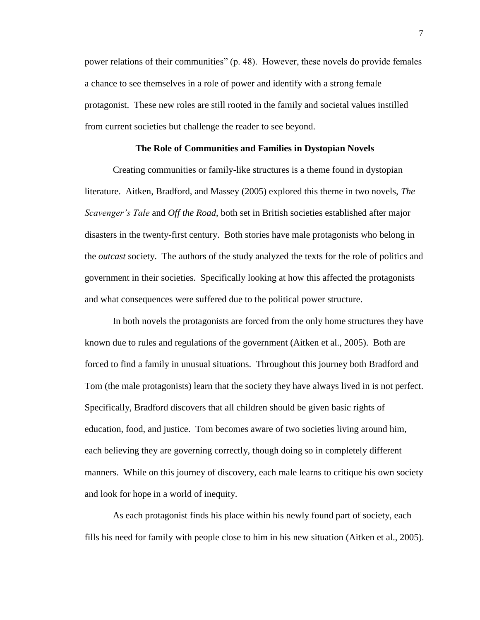power relations of their communities" (p. 48). However, these novels do provide females a chance to see themselves in a role of power and identify with a strong female protagonist. These new roles are still rooted in the family and societal values instilled from current societies but challenge the reader to see beyond.

### **The Role of Communities and Families in Dystopian Novels**

Creating communities or family-like structures is a theme found in dystopian literature. Aitken, Bradford, and Massey (2005) explored this theme in two novels, *The Scavenger's Tale* and *Off the Road*, both set in British societies established after major disasters in the twenty-first century. Both stories have male protagonists who belong in the *outcast* society. The authors of the study analyzed the texts for the role of politics and government in their societies. Specifically looking at how this affected the protagonists and what consequences were suffered due to the political power structure.

In both novels the protagonists are forced from the only home structures they have known due to rules and regulations of the government (Aitken et al., 2005). Both are forced to find a family in unusual situations. Throughout this journey both Bradford and Tom (the male protagonists) learn that the society they have always lived in is not perfect. Specifically, Bradford discovers that all children should be given basic rights of education, food, and justice. Tom becomes aware of two societies living around him, each believing they are governing correctly, though doing so in completely different manners. While on this journey of discovery, each male learns to critique his own society and look for hope in a world of inequity.

As each protagonist finds his place within his newly found part of society, each fills his need for family with people close to him in his new situation (Aitken et al., 2005).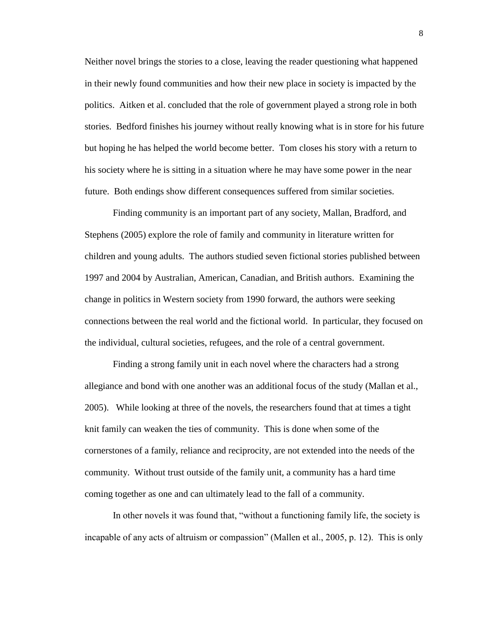Neither novel brings the stories to a close, leaving the reader questioning what happened in their newly found communities and how their new place in society is impacted by the politics. Aitken et al. concluded that the role of government played a strong role in both stories. Bedford finishes his journey without really knowing what is in store for his future but hoping he has helped the world become better. Tom closes his story with a return to his society where he is sitting in a situation where he may have some power in the near future. Both endings show different consequences suffered from similar societies.

Finding community is an important part of any society, Mallan, Bradford, and Stephens (2005) explore the role of family and community in literature written for children and young adults. The authors studied seven fictional stories published between 1997 and 2004 by Australian, American, Canadian, and British authors. Examining the change in politics in Western society from 1990 forward, the authors were seeking connections between the real world and the fictional world. In particular, they focused on the individual, cultural societies, refugees, and the role of a central government.

Finding a strong family unit in each novel where the characters had a strong allegiance and bond with one another was an additional focus of the study (Mallan et al., 2005). While looking at three of the novels, the researchers found that at times a tight knit family can weaken the ties of community. This is done when some of the cornerstones of a family, reliance and reciprocity, are not extended into the needs of the community. Without trust outside of the family unit, a community has a hard time coming together as one and can ultimately lead to the fall of a community.

In other novels it was found that, "without a functioning family life, the society is incapable of any acts of altruism or compassion" (Mallen et al., 2005, p. 12). This is only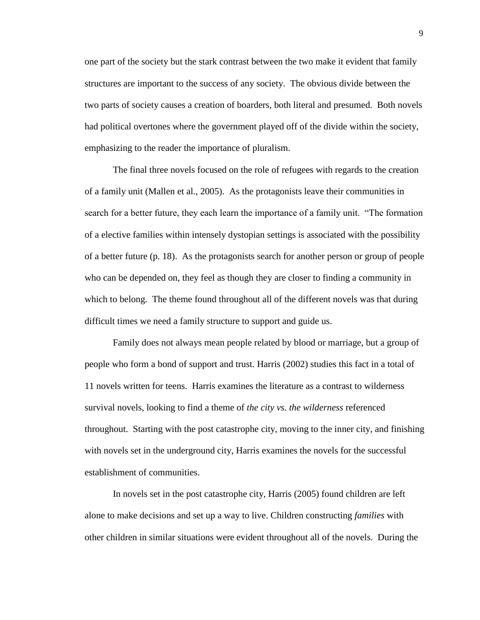one part of the society but the stark contrast between the two make it evident that family structures are important to the success of any society. The obvious divide between the two parts of society causes a creation of boarders, both literal and presumed. Both novels had political overtones where the government played off of the divide within the society, emphasizing to the reader the importance of pluralism.

The final three novels focused on the role of refugees with regards to the creation of a family unit (Mallen et al., 2005). As the protagonists leave their communities in search for a better future, they each learn the importance of a family unit. "The formation of a elective families within intensely dystopian settings is associated with the possibility of a better future (p. 18). As the protagonists search for another person or group of people who can be depended on, they feel as though they are closer to finding a community in which to belong. The theme found throughout all of the different novels was that during difficult times we need a family structure to support and guide us.

Family does not always mean people related by blood or marriage, but a group of people who form a bond of support and trust. Harris (2002) studies this fact in a total of 11 novels written for teens. Harris examines the literature as a contrast to wilderness survival novels, looking to find a theme of *the city vs. the wilderness* referenced throughout. Starting with the post catastrophe city, moving to the inner city, and finishing with novels set in the underground city, Harris examines the novels for the successful establishment of communities.

In novels set in the post catastrophe city, Harris (2005) found children are left alone to make decisions and set up a way to live. Children constructing *families* with other children in similar situations were evident throughout all of the novels. During the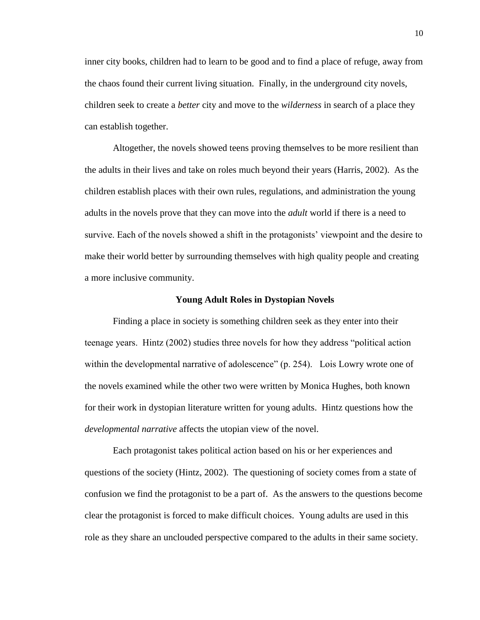inner city books, children had to learn to be good and to find a place of refuge, away from the chaos found their current living situation. Finally, in the underground city novels, children seek to create a *better* city and move to the *wilderness* in search of a place they can establish together.

Altogether, the novels showed teens proving themselves to be more resilient than the adults in their lives and take on roles much beyond their years (Harris, 2002). As the children establish places with their own rules, regulations, and administration the young adults in the novels prove that they can move into the *adult* world if there is a need to survive. Each of the novels showed a shift in the protagonists' viewpoint and the desire to make their world better by surrounding themselves with high quality people and creating a more inclusive community.

#### **Young Adult Roles in Dystopian Novels**

Finding a place in society is something children seek as they enter into their teenage years. Hintz (2002) studies three novels for how they address "political action within the developmental narrative of adolescence" (p. 254). Lois Lowry wrote one of the novels examined while the other two were written by Monica Hughes, both known for their work in dystopian literature written for young adults. Hintz questions how the *developmental narrative* affects the utopian view of the novel.

Each protagonist takes political action based on his or her experiences and questions of the society (Hintz, 2002). The questioning of society comes from a state of confusion we find the protagonist to be a part of. As the answers to the questions become clear the protagonist is forced to make difficult choices. Young adults are used in this role as they share an unclouded perspective compared to the adults in their same society.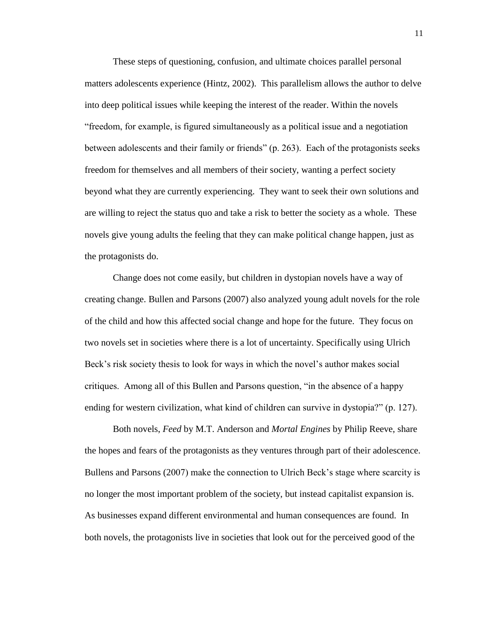These steps of questioning, confusion, and ultimate choices parallel personal matters adolescents experience (Hintz, 2002). This parallelism allows the author to delve into deep political issues while keeping the interest of the reader. Within the novels "freedom, for example, is figured simultaneously as a political issue and a negotiation between adolescents and their family or friends" (p. 263). Each of the protagonists seeks freedom for themselves and all members of their society, wanting a perfect society beyond what they are currently experiencing. They want to seek their own solutions and are willing to reject the status quo and take a risk to better the society as a whole. These novels give young adults the feeling that they can make political change happen, just as the protagonists do.

Change does not come easily, but children in dystopian novels have a way of creating change. Bullen and Parsons (2007) also analyzed young adult novels for the role of the child and how this affected social change and hope for the future. They focus on two novels set in societies where there is a lot of uncertainty. Specifically using Ulrich Beck's risk society thesis to look for ways in which the novel's author makes social critiques. Among all of this Bullen and Parsons question, "in the absence of a happy ending for western civilization, what kind of children can survive in dystopia?" (p. 127).

Both novels, *Feed* by M.T. Anderson and *Mortal Engines* by Philip Reeve, share the hopes and fears of the protagonists as they ventures through part of their adolescence. Bullens and Parsons (2007) make the connection to Ulrich Beck's stage where scarcity is no longer the most important problem of the society, but instead capitalist expansion is. As businesses expand different environmental and human consequences are found. In both novels, the protagonists live in societies that look out for the perceived good of the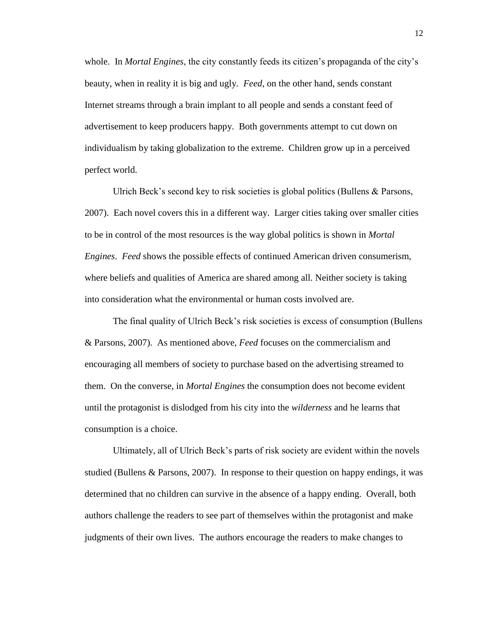whole. In *Mortal Engines*, the city constantly feeds its citizen's propaganda of the city's beauty, when in reality it is big and ugly. *Feed*, on the other hand, sends constant Internet streams through a brain implant to all people and sends a constant feed of advertisement to keep producers happy. Both governments attempt to cut down on individualism by taking globalization to the extreme. Children grow up in a perceived perfect world.

Ulrich Beck's second key to risk societies is global politics (Bullens & Parsons, 2007). Each novel covers this in a different way. Larger cities taking over smaller cities to be in control of the most resources is the way global politics is shown in *Mortal Engines*. *Feed* shows the possible effects of continued American driven consumerism, where beliefs and qualities of America are shared among all. Neither society is taking into consideration what the environmental or human costs involved are.

The final quality of Ulrich Beck's risk societies is excess of consumption (Bullens & Parsons, 2007). As mentioned above, *Feed* focuses on the commercialism and encouraging all members of society to purchase based on the advertising streamed to them. On the converse, in *Mortal Engines* the consumption does not become evident until the protagonist is dislodged from his city into the *wilderness* and he learns that consumption is a choice.

Ultimately, all of Ulrich Beck's parts of risk society are evident within the novels studied (Bullens & Parsons, 2007). In response to their question on happy endings, it was determined that no children can survive in the absence of a happy ending. Overall, both authors challenge the readers to see part of themselves within the protagonist and make judgments of their own lives. The authors encourage the readers to make changes to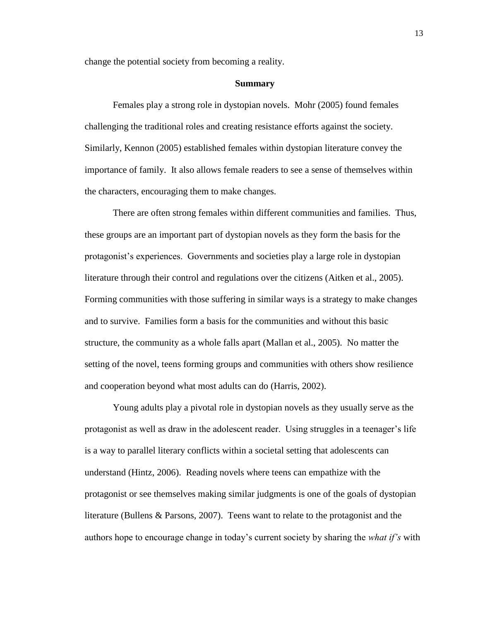change the potential society from becoming a reality.

#### **Summary**

Females play a strong role in dystopian novels. Mohr (2005) found females challenging the traditional roles and creating resistance efforts against the society. Similarly, Kennon (2005) established females within dystopian literature convey the importance of family. It also allows female readers to see a sense of themselves within the characters, encouraging them to make changes.

There are often strong females within different communities and families. Thus, these groups are an important part of dystopian novels as they form the basis for the protagonist's experiences. Governments and societies play a large role in dystopian literature through their control and regulations over the citizens (Aitken et al., 2005). Forming communities with those suffering in similar ways is a strategy to make changes and to survive. Families form a basis for the communities and without this basic structure, the community as a whole falls apart (Mallan et al., 2005). No matter the setting of the novel, teens forming groups and communities with others show resilience and cooperation beyond what most adults can do (Harris, 2002).

Young adults play a pivotal role in dystopian novels as they usually serve as the protagonist as well as draw in the adolescent reader. Using struggles in a teenager's life is a way to parallel literary conflicts within a societal setting that adolescents can understand (Hintz, 2006). Reading novels where teens can empathize with the protagonist or see themselves making similar judgments is one of the goals of dystopian literature (Bullens & Parsons, 2007). Teens want to relate to the protagonist and the authors hope to encourage change in today's current society by sharing the *what if's* with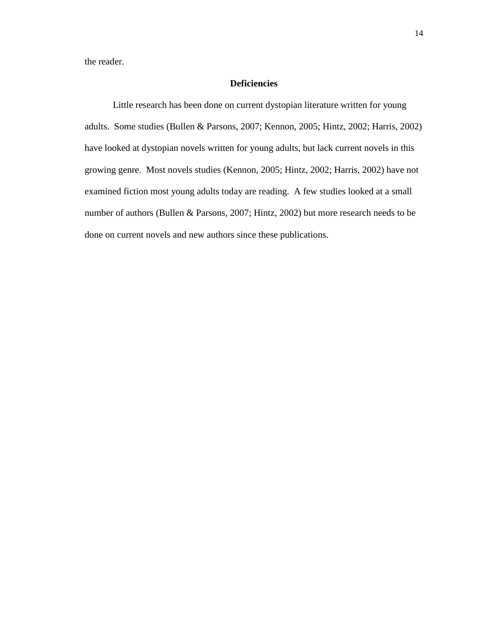the reader.

# **Deficiencies**

Little research has been done on current dystopian literature written for young adults. Some studies (Bullen & Parsons, 2007; Kennon, 2005; Hintz, 2002; Harris, 2002) have looked at dystopian novels written for young adults, but lack current novels in this growing genre. Most novels studies (Kennon, 2005; Hintz, 2002; Harris, 2002) have not examined fiction most young adults today are reading. A few studies looked at a small number of authors (Bullen & Parsons, 2007; Hintz, 2002) but more research needs to be done on current novels and new authors since these publications.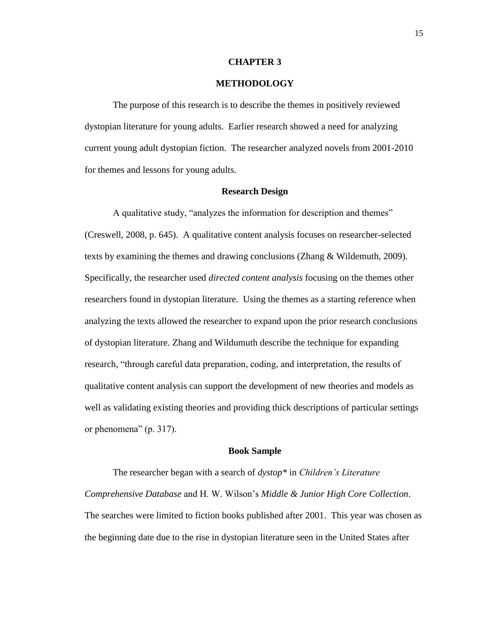#### **CHAPTER 3**

### **METHODOLOGY**

The purpose of this research is to describe the themes in positively reviewed dystopian literature for young adults. Earlier research showed a need for analyzing current young adult dystopian fiction. The researcher analyzed novels from 2001-2010 for themes and lessons for young adults.

#### **Research Design**

A qualitative study, "analyzes the information for description and themes" (Creswell, 2008, p. 645). A qualitative content analysis focuses on researcher-selected texts by examining the themes and drawing conclusions (Zhang & Wildemuth, 2009). Specifically, the researcher used *directed content analysis* focusing on the themes other researchers found in dystopian literature. Using the themes as a starting reference when analyzing the texts allowed the researcher to expand upon the prior research conclusions of dystopian literature. Zhang and Wildumuth describe the technique for expanding research, "through careful data preparation, coding, and interpretation, the results of qualitative content analysis can support the development of new theories and models as well as validating existing theories and providing thick descriptions of particular settings or phenomena" (p. 317).

#### **Book Sample**

The researcher began with a search of *dystop\** in *Children's Literature Comprehensive Database* and H. W. Wilson's *Middle & Junior High Core Collection*. The searches were limited to fiction books published after 2001. This year was chosen as the beginning date due to the rise in dystopian literature seen in the United States after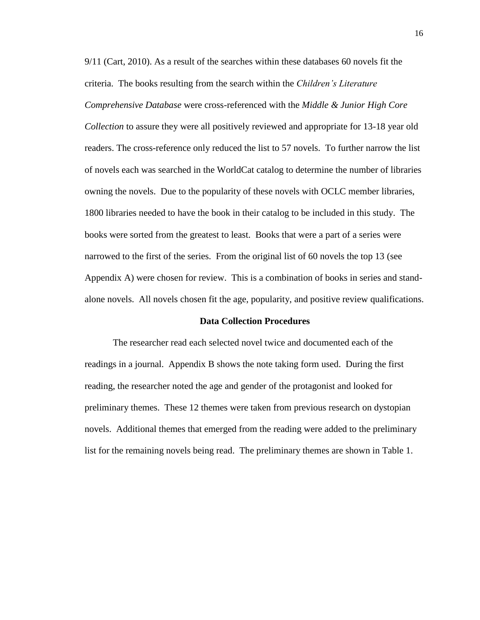9/11 (Cart, 2010). As a result of the searches within these databases 60 novels fit the criteria. The books resulting from the search within the *Children's Literature Comprehensive Database* were cross-referenced with the *Middle & Junior High Core Collection* to assure they were all positively reviewed and appropriate for 13-18 year old readers. The cross-reference only reduced the list to 57 novels. To further narrow the list of novels each was searched in the WorldCat catalog to determine the number of libraries owning the novels. Due to the popularity of these novels with OCLC member libraries, 1800 libraries needed to have the book in their catalog to be included in this study. The books were sorted from the greatest to least. Books that were a part of a series were narrowed to the first of the series. From the original list of 60 novels the top 13 (see Appendix A) were chosen for review. This is a combination of books in series and standalone novels. All novels chosen fit the age, popularity, and positive review qualifications.

### **Data Collection Procedures**

The researcher read each selected novel twice and documented each of the readings in a journal. Appendix B shows the note taking form used. During the first reading, the researcher noted the age and gender of the protagonist and looked for preliminary themes. These 12 themes were taken from previous research on dystopian novels. Additional themes that emerged from the reading were added to the preliminary list for the remaining novels being read. The preliminary themes are shown in Table 1.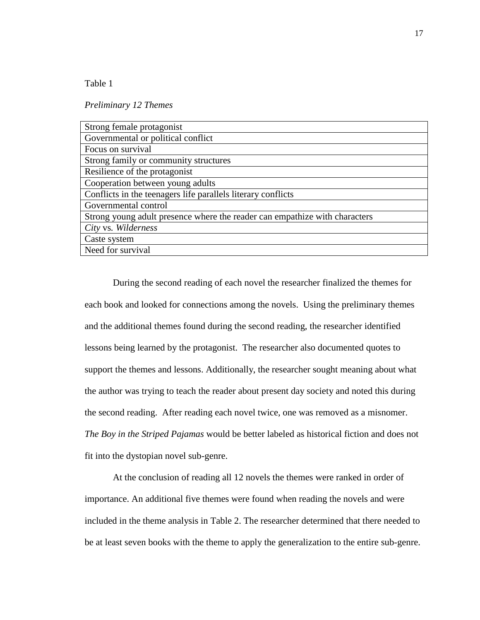Table 1

*Preliminary 12 Themes*

| Strong female protagonist                                                  |
|----------------------------------------------------------------------------|
| Governmental or political conflict                                         |
| Focus on survival                                                          |
| Strong family or community structures                                      |
| Resilience of the protagonist                                              |
| Cooperation between young adults                                           |
| Conflicts in the teenagers life parallels literary conflicts               |
| Governmental control                                                       |
| Strong young adult presence where the reader can empathize with characters |
| City vs. Wilderness                                                        |
| Caste system                                                               |
| Need for survival                                                          |
|                                                                            |

During the second reading of each novel the researcher finalized the themes for each book and looked for connections among the novels. Using the preliminary themes and the additional themes found during the second reading, the researcher identified lessons being learned by the protagonist. The researcher also documented quotes to support the themes and lessons. Additionally, the researcher sought meaning about what the author was trying to teach the reader about present day society and noted this during the second reading. After reading each novel twice, one was removed as a misnomer. *The Boy in the Striped Pajamas* would be better labeled as historical fiction and does not fit into the dystopian novel sub-genre.

At the conclusion of reading all 12 novels the themes were ranked in order of importance. An additional five themes were found when reading the novels and were included in the theme analysis in Table 2. The researcher determined that there needed to be at least seven books with the theme to apply the generalization to the entire sub-genre.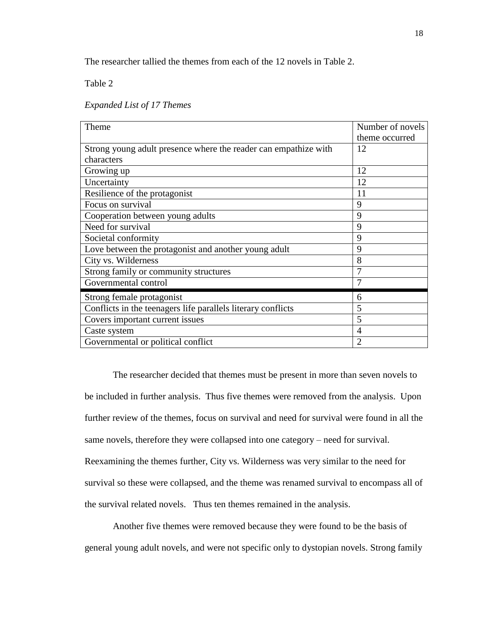The researcher tallied the themes from each of the 12 novels in Table 2.

Table 2

*Expanded List of 17 Themes*

| Theme                                                           | Number of novels<br>theme occurred |
|-----------------------------------------------------------------|------------------------------------|
| Strong young adult presence where the reader can empathize with | 12                                 |
| characters                                                      |                                    |
| Growing up                                                      | 12                                 |
| Uncertainty                                                     | 12                                 |
| Resilience of the protagonist                                   | 11                                 |
| Focus on survival                                               | 9                                  |
| Cooperation between young adults                                | 9                                  |
| Need for survival                                               | 9                                  |
| Societal conformity                                             | 9                                  |
| Love between the protagonist and another young adult            | 9                                  |
| City vs. Wilderness                                             | 8                                  |
| Strong family or community structures                           | 7                                  |
| Governmental control                                            | $\overline{7}$                     |
| Strong female protagonist                                       | 6                                  |
| Conflicts in the teenagers life parallels literary conflicts    | 5                                  |
| Covers important current issues                                 | 5                                  |
| Caste system                                                    | 4                                  |
| Governmental or political conflict                              | $\overline{2}$                     |

The researcher decided that themes must be present in more than seven novels to be included in further analysis. Thus five themes were removed from the analysis. Upon further review of the themes, focus on survival and need for survival were found in all the same novels, therefore they were collapsed into one category – need for survival. Reexamining the themes further, City vs. Wilderness was very similar to the need for survival so these were collapsed, and the theme was renamed survival to encompass all of the survival related novels. Thus ten themes remained in the analysis.

Another five themes were removed because they were found to be the basis of general young adult novels, and were not specific only to dystopian novels. Strong family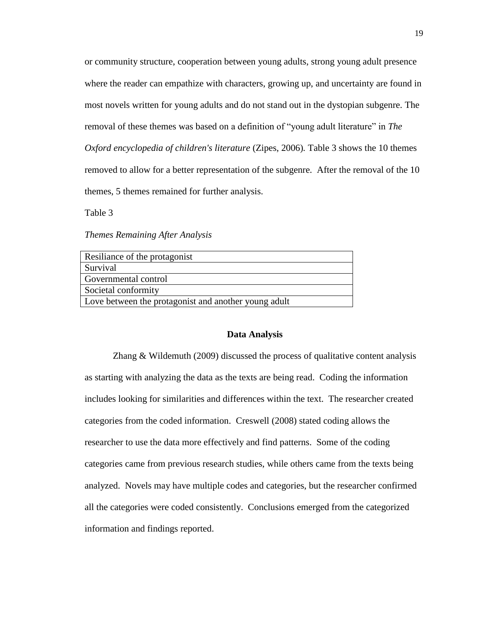or community structure, cooperation between young adults, strong young adult presence where the reader can empathize with characters, growing up, and uncertainty are found in most novels written for young adults and do not stand out in the dystopian subgenre. The removal of these themes was based on a definition of "young adult literature" in *The Oxford encyclopedia of children's literature (Zipes, 2006).* Table 3 shows the 10 themes removed to allow for a better representation of the subgenre. After the removal of the 10 themes, 5 themes remained for further analysis.

Table 3

*Themes Remaining After Analysis*

| Resiliance of the protagonist                        |
|------------------------------------------------------|
| Survival                                             |
| Governmental control                                 |
| Societal conformity                                  |
| Love between the protagonist and another young adult |

#### **Data Analysis**

Zhang & Wildemuth (2009) discussed the process of qualitative content analysis as starting with analyzing the data as the texts are being read. Coding the information includes looking for similarities and differences within the text. The researcher created categories from the coded information. Creswell (2008) stated coding allows the researcher to use the data more effectively and find patterns. Some of the coding categories came from previous research studies, while others came from the texts being analyzed. Novels may have multiple codes and categories, but the researcher confirmed all the categories were coded consistently. Conclusions emerged from the categorized information and findings reported.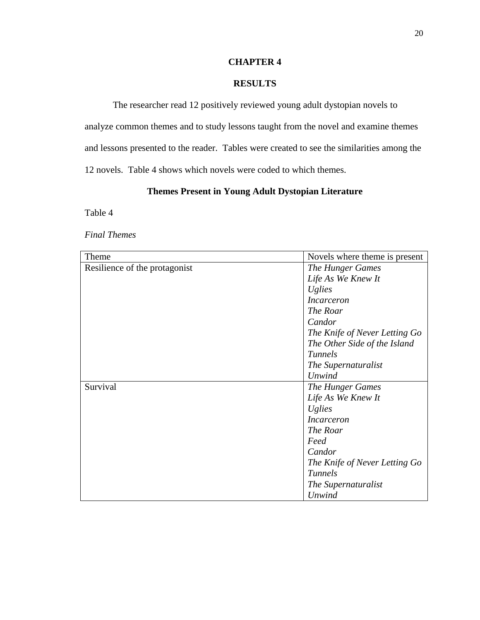# **CHAPTER 4**

# **RESULTS**

The researcher read 12 positively reviewed young adult dystopian novels to analyze common themes and to study lessons taught from the novel and examine themes and lessons presented to the reader. Tables were created to see the similarities among the 12 novels. Table 4 shows which novels were coded to which themes.

# **Themes Present in Young Adult Dystopian Literature**

Table 4

*Final Themes*

| Theme                         | Novels where theme is present |
|-------------------------------|-------------------------------|
| Resilience of the protagonist | The Hunger Games              |
|                               | Life As We Knew It            |
|                               | <i>Uglies</i>                 |
|                               | <i>Incarceron</i>             |
|                               | The Roar                      |
|                               | Candor                        |
|                               | The Knife of Never Letting Go |
|                               | The Other Side of the Island  |
|                               | <b>Tunnels</b>                |
|                               | The Supernaturalist           |
|                               | <b>Unwind</b>                 |
| Survival                      | <b>The Hunger Games</b>       |
|                               | Life As We Knew It            |
|                               | <i>Uglies</i>                 |
|                               | <i>Incarceron</i>             |
|                               | The Roar                      |
|                               | Feed                          |
|                               | Candor                        |
|                               | The Knife of Never Letting Go |
|                               | <b>Tunnels</b>                |
|                               | The Supernaturalist           |
|                               | <b>Unwind</b>                 |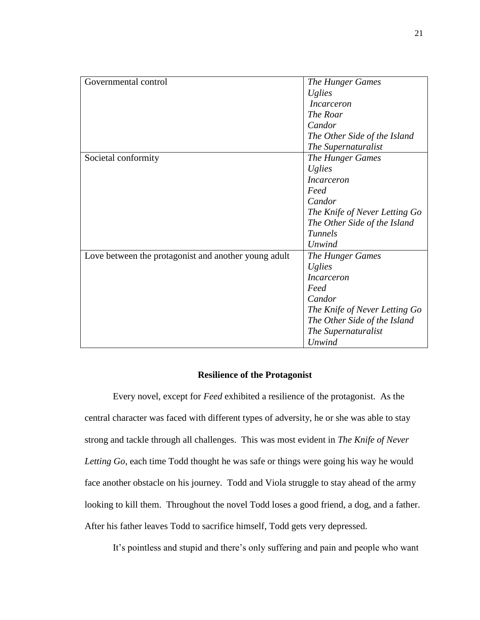| Governmental control                                 | The Hunger Games              |
|------------------------------------------------------|-------------------------------|
|                                                      | <i>Uglies</i>                 |
|                                                      | <i>Incarceron</i>             |
|                                                      | The Roar                      |
|                                                      | Candor                        |
|                                                      | The Other Side of the Island  |
|                                                      | The Supernaturalist           |
| Societal conformity                                  | <b>The Hunger Games</b>       |
|                                                      | <i>Uglies</i>                 |
|                                                      | <i>Incarceron</i>             |
|                                                      | Feed                          |
|                                                      | Candor                        |
|                                                      | The Knife of Never Letting Go |
|                                                      | The Other Side of the Island  |
|                                                      | Tunnels                       |
|                                                      | Unwind                        |
| Love between the protagonist and another young adult | The Hunger Games              |
|                                                      | <i>Uglies</i>                 |
|                                                      | <i>Incarceron</i>             |
|                                                      | Feed                          |
|                                                      | Candor                        |
|                                                      | The Knife of Never Letting Go |
|                                                      | The Other Side of the Island  |
|                                                      | The Supernaturalist           |
|                                                      | Unwind                        |

# **Resilience of the Protagonist**

Every novel, except for *Feed* exhibited a resilience of the protagonist. As the central character was faced with different types of adversity, he or she was able to stay strong and tackle through all challenges. This was most evident in *The Knife of Never Letting Go*, each time Todd thought he was safe or things were going his way he would face another obstacle on his journey. Todd and Viola struggle to stay ahead of the army looking to kill them. Throughout the novel Todd loses a good friend, a dog, and a father. After his father leaves Todd to sacrifice himself, Todd gets very depressed.

It's pointless and stupid and there's only suffering and pain and people who want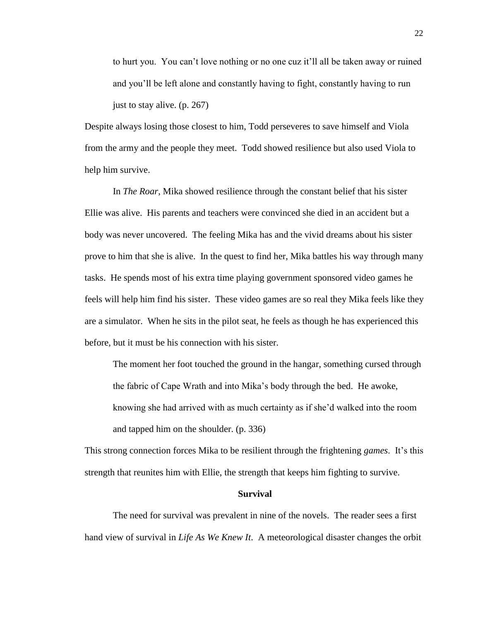to hurt you. You can't love nothing or no one cuz it'll all be taken away or ruined and you'll be left alone and constantly having to fight, constantly having to run just to stay alive. (p. 267)

Despite always losing those closest to him, Todd perseveres to save himself and Viola from the army and the people they meet. Todd showed resilience but also used Viola to help him survive.

In *The Roar*, Mika showed resilience through the constant belief that his sister Ellie was alive. His parents and teachers were convinced she died in an accident but a body was never uncovered. The feeling Mika has and the vivid dreams about his sister prove to him that she is alive. In the quest to find her, Mika battles his way through many tasks. He spends most of his extra time playing government sponsored video games he feels will help him find his sister. These video games are so real they Mika feels like they are a simulator. When he sits in the pilot seat, he feels as though he has experienced this before, but it must be his connection with his sister.

The moment her foot touched the ground in the hangar, something cursed through the fabric of Cape Wrath and into Mika's body through the bed. He awoke, knowing she had arrived with as much certainty as if she'd walked into the room and tapped him on the shoulder. (p. 336)

This strong connection forces Mika to be resilient through the frightening *games*. It's this strength that reunites him with Ellie, the strength that keeps him fighting to survive.

#### **Survival**

The need for survival was prevalent in nine of the novels. The reader sees a first hand view of survival in *Life As We Knew It*. A meteorological disaster changes the orbit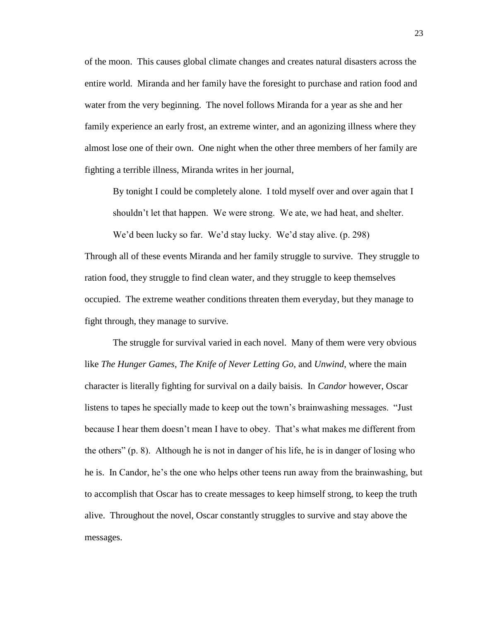of the moon. This causes global climate changes and creates natural disasters across the entire world. Miranda and her family have the foresight to purchase and ration food and water from the very beginning. The novel follows Miranda for a year as she and her family experience an early frost, an extreme winter, and an agonizing illness where they almost lose one of their own. One night when the other three members of her family are fighting a terrible illness, Miranda writes in her journal,

By tonight I could be completely alone. I told myself over and over again that I shouldn't let that happen. We were strong. We ate, we had heat, and shelter.

We'd been lucky so far. We'd stay lucky. We'd stay alive. (p. 298) Through all of these events Miranda and her family struggle to survive. They struggle to ration food, they struggle to find clean water, and they struggle to keep themselves occupied. The extreme weather conditions threaten them everyday, but they manage to fight through, they manage to survive.

The struggle for survival varied in each novel. Many of them were very obvious like *The Hunger Games*, *The Knife of Never Letting Go*, and *Unwind*, where the main character is literally fighting for survival on a daily baisis. In *Candor* however, Oscar listens to tapes he specially made to keep out the town's brainwashing messages. "Just because I hear them doesn't mean I have to obey. That's what makes me different from the others" (p. 8). Although he is not in danger of his life, he is in danger of losing who he is. In Candor, he's the one who helps other teens run away from the brainwashing, but to accomplish that Oscar has to create messages to keep himself strong, to keep the truth alive. Throughout the novel, Oscar constantly struggles to survive and stay above the messages.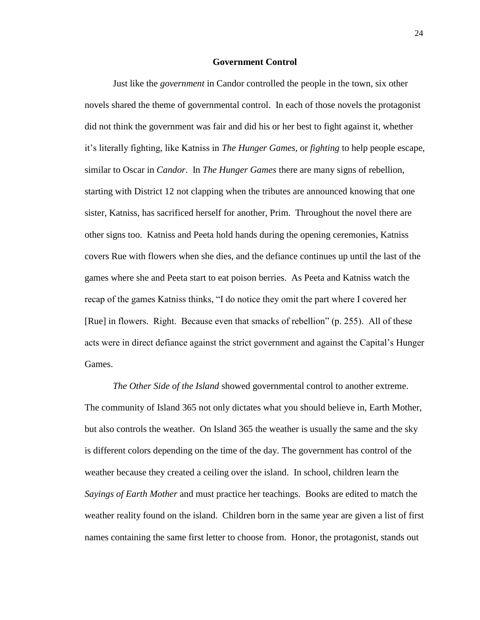### **Government Control**

Just like the *government* in Candor controlled the people in the town, six other novels shared the theme of governmental control. In each of those novels the protagonist did not think the government was fair and did his or her best to fight against it, whether it's literally fighting, like Katniss in *The Hunger Games,* or *fighting* to help people escape, similar to Oscar in *Candor*. In *The Hunger Games* there are many signs of rebellion, starting with District 12 not clapping when the tributes are announced knowing that one sister, Katniss, has sacrificed herself for another, Prim. Throughout the novel there are other signs too. Katniss and Peeta hold hands during the opening ceremonies, Katniss covers Rue with flowers when she dies, and the defiance continues up until the last of the games where she and Peeta start to eat poison berries. As Peeta and Katniss watch the recap of the games Katniss thinks, "I do notice they omit the part where I covered her [Rue] in flowers. Right. Because even that smacks of rebellion" (p. 255). All of these acts were in direct defiance against the strict government and against the Capital's Hunger Games.

*The Other Side of the Island* showed governmental control to another extreme. The community of Island 365 not only dictates what you should believe in, Earth Mother, but also controls the weather. On Island 365 the weather is usually the same and the sky is different colors depending on the time of the day. The government has control of the weather because they created a ceiling over the island. In school, children learn the *Sayings of Earth Mother* and must practice her teachings. Books are edited to match the weather reality found on the island. Children born in the same year are given a list of first names containing the same first letter to choose from. Honor, the protagonist, stands out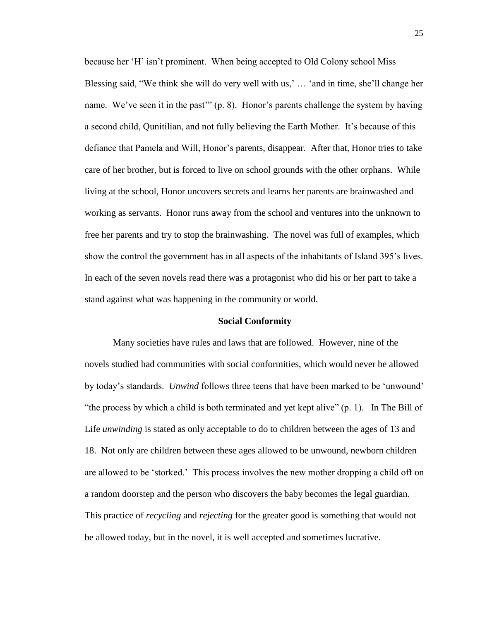because her 'H' isn't prominent. When being accepted to Old Colony school Miss Blessing said, "We think she will do very well with us,' … 'and in time, she'll change her name. We've seen it in the past'" (p. 8). Honor's parents challenge the system by having a second child, Qunitilian, and not fully believing the Earth Mother. It's because of this defiance that Pamela and Will, Honor's parents, disappear. After that, Honor tries to take care of her brother, but is forced to live on school grounds with the other orphans. While living at the school, Honor uncovers secrets and learns her parents are brainwashed and working as servants. Honor runs away from the school and ventures into the unknown to free her parents and try to stop the brainwashing. The novel was full of examples, which show the control the government has in all aspects of the inhabitants of Island 395's lives. In each of the seven novels read there was a protagonist who did his or her part to take a stand against what was happening in the community or world.

#### **Social Conformity**

Many societies have rules and laws that are followed. However, nine of the novels studied had communities with social conformities, which would never be allowed by today's standards. *Unwind* follows three teens that have been marked to be 'unwound' "the process by which a child is both terminated and yet kept alive"  $(p, 1)$ . In The Bill of Life *unwinding* is stated as only acceptable to do to children between the ages of 13 and 18. Not only are children between these ages allowed to be unwound, newborn children are allowed to be 'storked.' This process involves the new mother dropping a child off on a random doorstep and the person who discovers the baby becomes the legal guardian. This practice of *recycling* and *rejecting* for the greater good is something that would not be allowed today, but in the novel, it is well accepted and sometimes lucrative.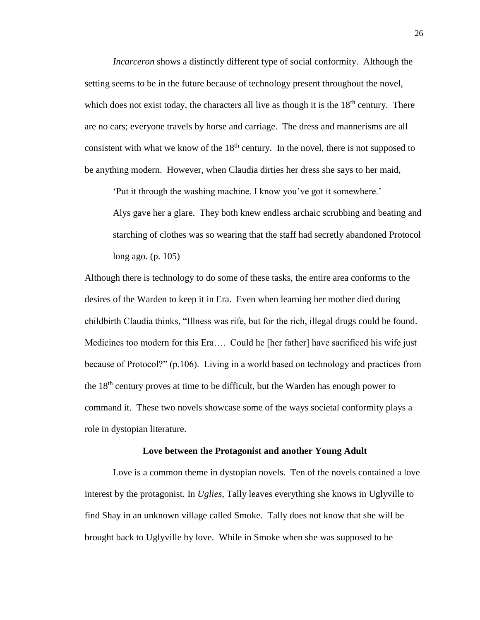*Incarceron* shows a distinctly different type of social conformity. Although the setting seems to be in the future because of technology present throughout the novel, which does not exist today, the characters all live as though it is the  $18<sup>th</sup>$  century. There are no cars; everyone travels by horse and carriage. The dress and mannerisms are all consistent with what we know of the  $18<sup>th</sup>$  century. In the novel, there is not supposed to be anything modern. However, when Claudia dirties her dress she says to her maid,

'Put it through the washing machine. I know you've got it somewhere.'

Alys gave her a glare. They both knew endless archaic scrubbing and beating and starching of clothes was so wearing that the staff had secretly abandoned Protocol long ago. (p. 105)

Although there is technology to do some of these tasks, the entire area conforms to the desires of the Warden to keep it in Era. Even when learning her mother died during childbirth Claudia thinks, "Illness was rife, but for the rich, illegal drugs could be found. Medicines too modern for this Era…. Could he [her father] have sacrificed his wife just because of Protocol?" (p.106). Living in a world based on technology and practices from the 18<sup>th</sup> century proves at time to be difficult, but the Warden has enough power to command it. These two novels showcase some of the ways societal conformity plays a role in dystopian literature.

#### **Love between the Protagonist and another Young Adult**

Love is a common theme in dystopian novels. Ten of the novels contained a love interest by the protagonist. In *Uglies*, Tally leaves everything she knows in Uglyville to find Shay in an unknown village called Smoke. Tally does not know that she will be brought back to Uglyville by love. While in Smoke when she was supposed to be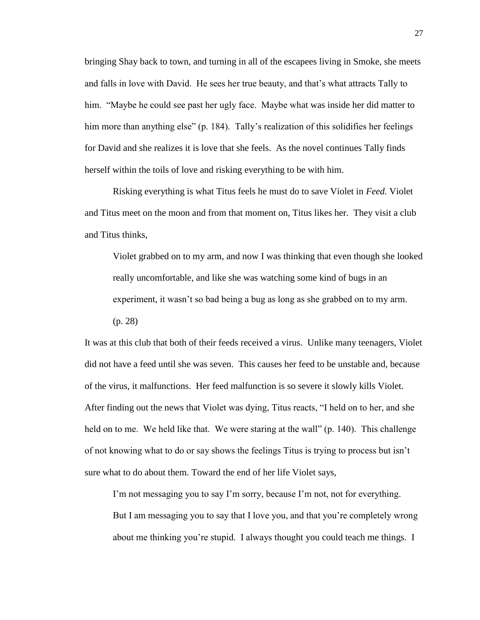bringing Shay back to town, and turning in all of the escapees living in Smoke, she meets and falls in love with David. He sees her true beauty, and that's what attracts Tally to him. "Maybe he could see past her ugly face. Maybe what was inside her did matter to him more than anything else" (p. 184). Tally's realization of this solidifies her feelings for David and she realizes it is love that she feels. As the novel continues Tally finds herself within the toils of love and risking everything to be with him.

Risking everything is what Titus feels he must do to save Violet in *Feed.* Violet and Titus meet on the moon and from that moment on, Titus likes her. They visit a club and Titus thinks,

Violet grabbed on to my arm, and now I was thinking that even though she looked really uncomfortable, and like she was watching some kind of bugs in an experiment, it wasn't so bad being a bug as long as she grabbed on to my arm.

(p. 28)

It was at this club that both of their feeds received a virus. Unlike many teenagers, Violet did not have a feed until she was seven. This causes her feed to be unstable and, because of the virus, it malfunctions. Her feed malfunction is so severe it slowly kills Violet. After finding out the news that Violet was dying, Titus reacts, "I held on to her, and she held on to me. We held like that. We were staring at the wall" (p. 140). This challenge of not knowing what to do or say shows the feelings Titus is trying to process but isn't sure what to do about them. Toward the end of her life Violet says,

I'm not messaging you to say I'm sorry, because I'm not, not for everything. But I am messaging you to say that I love you, and that you're completely wrong about me thinking you're stupid. I always thought you could teach me things. I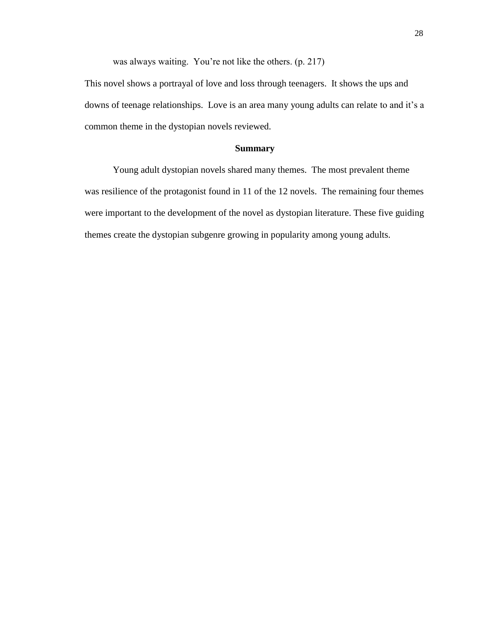was always waiting. You're not like the others. (p. 217)

This novel shows a portrayal of love and loss through teenagers. It shows the ups and downs of teenage relationships. Love is an area many young adults can relate to and it's a common theme in the dystopian novels reviewed.

# **Summary**

Young adult dystopian novels shared many themes. The most prevalent theme was resilience of the protagonist found in 11 of the 12 novels. The remaining four themes were important to the development of the novel as dystopian literature. These five guiding themes create the dystopian subgenre growing in popularity among young adults.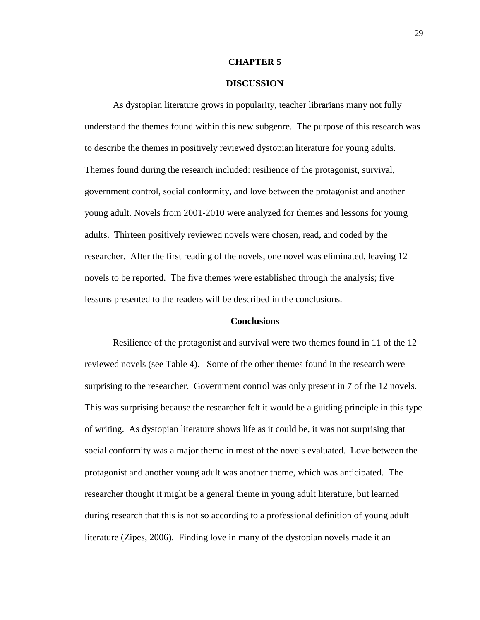#### **CHAPTER 5**

### **DISCUSSION**

As dystopian literature grows in popularity, teacher librarians many not fully understand the themes found within this new subgenre. The purpose of this research was to describe the themes in positively reviewed dystopian literature for young adults. Themes found during the research included: resilience of the protagonist, survival, government control, social conformity, and love between the protagonist and another young adult. Novels from 2001-2010 were analyzed for themes and lessons for young adults. Thirteen positively reviewed novels were chosen, read, and coded by the researcher. After the first reading of the novels, one novel was eliminated, leaving 12 novels to be reported. The five themes were established through the analysis; five lessons presented to the readers will be described in the conclusions.

#### **Conclusions**

Resilience of the protagonist and survival were two themes found in 11 of the 12 reviewed novels (see Table 4). Some of the other themes found in the research were surprising to the researcher. Government control was only present in 7 of the 12 novels. This was surprising because the researcher felt it would be a guiding principle in this type of writing. As dystopian literature shows life as it could be, it was not surprising that social conformity was a major theme in most of the novels evaluated. Love between the protagonist and another young adult was another theme, which was anticipated. The researcher thought it might be a general theme in young adult literature, but learned during research that this is not so according to a professional definition of young adult literature (Zipes, 2006). Finding love in many of the dystopian novels made it an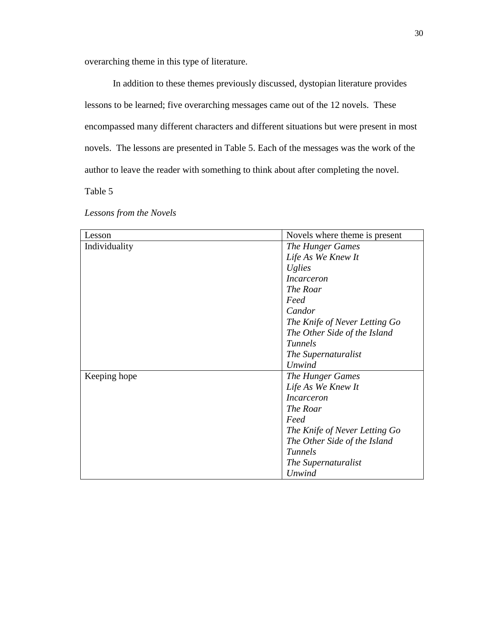overarching theme in this type of literature.

In addition to these themes previously discussed, dystopian literature provides lessons to be learned; five overarching messages came out of the 12 novels. These encompassed many different characters and different situations but were present in most novels. The lessons are presented in Table 5. Each of the messages was the work of the author to leave the reader with something to think about after completing the novel.

Table 5

*Lessons from the Novels*

| Lesson        | Novels where theme is present |
|---------------|-------------------------------|
| Individuality | The Hunger Games              |
|               | Life As We Knew It            |
|               | <i>Uglies</i>                 |
|               | <i>Incarceron</i>             |
|               | The Roar                      |
|               | Feed                          |
|               | Candor                        |
|               | The Knife of Never Letting Go |
|               | The Other Side of the Island  |
|               | <b>Tunnels</b>                |
|               | The Supernaturalist           |
|               | Unwind                        |
| Keeping hope  | The Hunger Games              |
|               | Life As We Knew It            |
|               | <i>Incarceron</i>             |
|               | The Roar                      |
|               | Feed                          |
|               | The Knife of Never Letting Go |
|               | The Other Side of the Island  |
|               | <b>Tunnels</b>                |
|               | The Supernaturalist           |
|               | Unwind                        |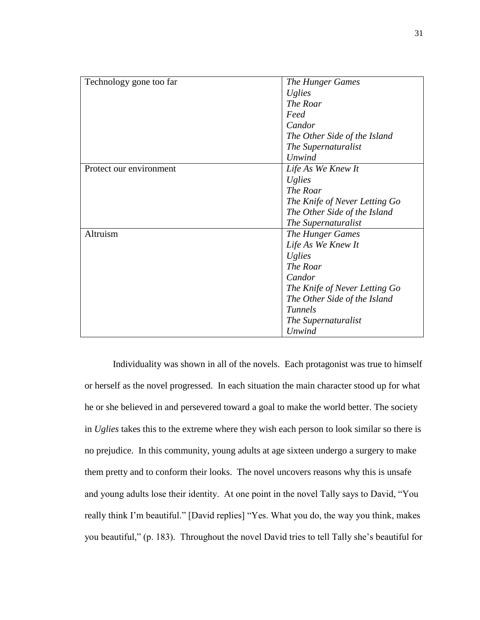| Technology gone too far | <b>The Hunger Games</b>       |
|-------------------------|-------------------------------|
|                         | Uglies                        |
|                         | The Roar                      |
|                         | Feed                          |
|                         | Candor                        |
|                         | The Other Side of the Island  |
|                         | The Supernaturalist           |
|                         | <b>Unwind</b>                 |
| Protect our environment | Life As We Knew It            |
|                         | <b>Uglies</b>                 |
|                         | The Roar                      |
|                         | The Knife of Never Letting Go |
|                         | The Other Side of the Island  |
|                         | The Supernaturalist           |
| Altruism                | <b>The Hunger Games</b>       |
|                         | Life As We Knew It            |
|                         | <i>Uglies</i>                 |
|                         | The Roar                      |
|                         | Candor                        |
|                         | The Knife of Never Letting Go |
|                         | The Other Side of the Island  |
|                         | <b>Tunnels</b>                |
|                         | The Supernaturalist           |
|                         | Unwind                        |

Individuality was shown in all of the novels. Each protagonist was true to himself or herself as the novel progressed. In each situation the main character stood up for what he or she believed in and persevered toward a goal to make the world better. The society in *Uglies* takes this to the extreme where they wish each person to look similar so there is no prejudice. In this community, young adults at age sixteen undergo a surgery to make them pretty and to conform their looks. The novel uncovers reasons why this is unsafe and young adults lose their identity. At one point in the novel Tally says to David, "You really think I'm beautiful." [David replies] "Yes. What you do, the way you think, makes you beautiful," (p. 183). Throughout the novel David tries to tell Tally she's beautiful for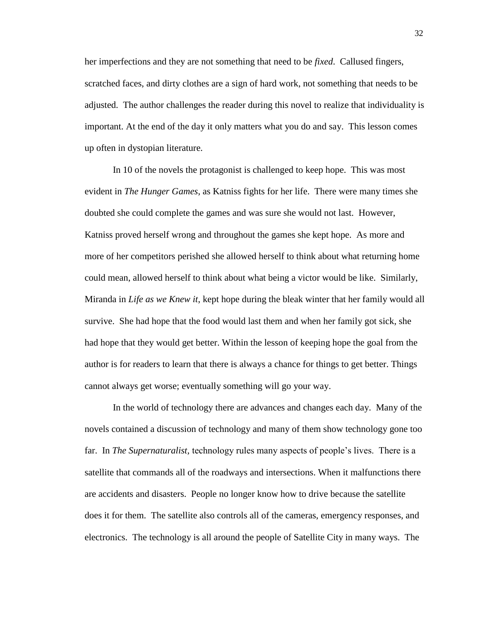her imperfections and they are not something that need to be *fixed*. Callused fingers, scratched faces, and dirty clothes are a sign of hard work, not something that needs to be adjusted. The author challenges the reader during this novel to realize that individuality is important. At the end of the day it only matters what you do and say. This lesson comes up often in dystopian literature.

In 10 of the novels the protagonist is challenged to keep hope. This was most evident in *The Hunger Games*, as Katniss fights for her life. There were many times she doubted she could complete the games and was sure she would not last. However, Katniss proved herself wrong and throughout the games she kept hope. As more and more of her competitors perished she allowed herself to think about what returning home could mean, allowed herself to think about what being a victor would be like. Similarly, Miranda in *Life as we Knew it*, kept hope during the bleak winter that her family would all survive. She had hope that the food would last them and when her family got sick, she had hope that they would get better. Within the lesson of keeping hope the goal from the author is for readers to learn that there is always a chance for things to get better. Things cannot always get worse; eventually something will go your way.

In the world of technology there are advances and changes each day. Many of the novels contained a discussion of technology and many of them show technology gone too far. In *The Supernaturalist,* technology rules many aspects of people's lives. There is a satellite that commands all of the roadways and intersections. When it malfunctions there are accidents and disasters. People no longer know how to drive because the satellite does it for them. The satellite also controls all of the cameras, emergency responses, and electronics. The technology is all around the people of Satellite City in many ways. The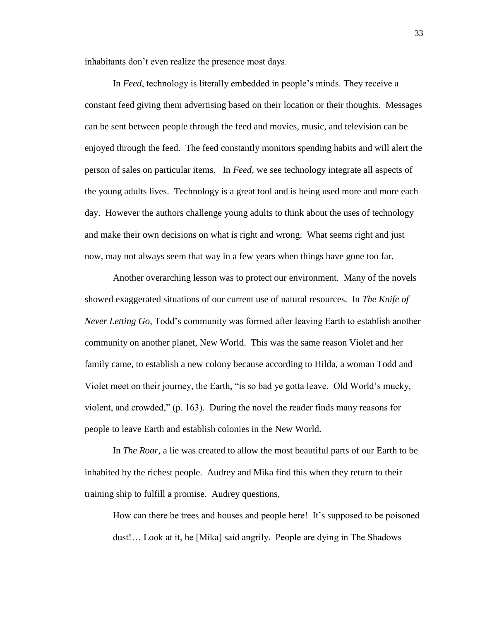inhabitants don't even realize the presence most days.

In *Feed*, technology is literally embedded in people's minds. They receive a constant feed giving them advertising based on their location or their thoughts. Messages can be sent between people through the feed and movies, music, and television can be enjoyed through the feed. The feed constantly monitors spending habits and will alert the person of sales on particular items. In *Feed*, we see technology integrate all aspects of the young adults lives. Technology is a great tool and is being used more and more each day. However the authors challenge young adults to think about the uses of technology and make their own decisions on what is right and wrong. What seems right and just now, may not always seem that way in a few years when things have gone too far.

Another overarching lesson was to protect our environment. Many of the novels showed exaggerated situations of our current use of natural resources. In *The Knife of Never Letting Go*, Todd's community was formed after leaving Earth to establish another community on another planet, New World. This was the same reason Violet and her family came, to establish a new colony because according to Hilda, a woman Todd and Violet meet on their journey, the Earth, "is so bad ye gotta leave. Old World's mucky, violent, and crowded," (p. 163). During the novel the reader finds many reasons for people to leave Earth and establish colonies in the New World.

In *The Roar*, a lie was created to allow the most beautiful parts of our Earth to be inhabited by the richest people. Audrey and Mika find this when they return to their training ship to fulfill a promise. Audrey questions,

How can there be trees and houses and people here! It's supposed to be poisoned dust!… Look at it, he [Mika] said angrily. People are dying in The Shadows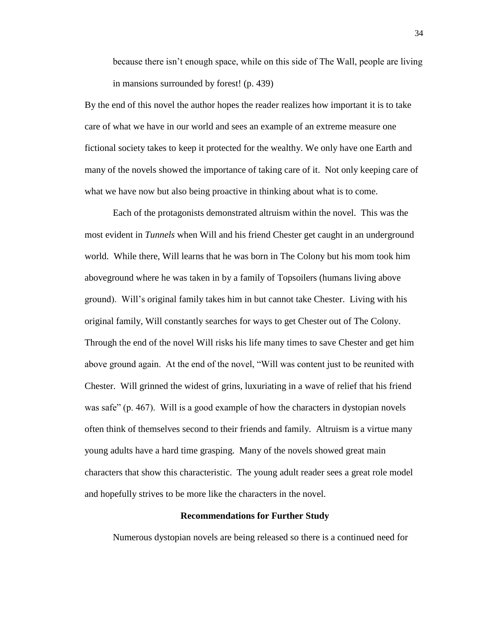because there isn't enough space, while on this side of The Wall, people are living in mansions surrounded by forest! (p. 439)

By the end of this novel the author hopes the reader realizes how important it is to take care of what we have in our world and sees an example of an extreme measure one fictional society takes to keep it protected for the wealthy. We only have one Earth and many of the novels showed the importance of taking care of it. Not only keeping care of what we have now but also being proactive in thinking about what is to come.

Each of the protagonists demonstrated altruism within the novel. This was the most evident in *Tunnels* when Will and his friend Chester get caught in an underground world. While there, Will learns that he was born in The Colony but his mom took him aboveground where he was taken in by a family of Topsoilers (humans living above ground). Will's original family takes him in but cannot take Chester. Living with his original family, Will constantly searches for ways to get Chester out of The Colony. Through the end of the novel Will risks his life many times to save Chester and get him above ground again. At the end of the novel, "Will was content just to be reunited with Chester. Will grinned the widest of grins, luxuriating in a wave of relief that his friend was safe" (p. 467). Will is a good example of how the characters in dystopian novels often think of themselves second to their friends and family. Altruism is a virtue many young adults have a hard time grasping. Many of the novels showed great main characters that show this characteristic. The young adult reader sees a great role model and hopefully strives to be more like the characters in the novel.

# **Recommendations for Further Study**

Numerous dystopian novels are being released so there is a continued need for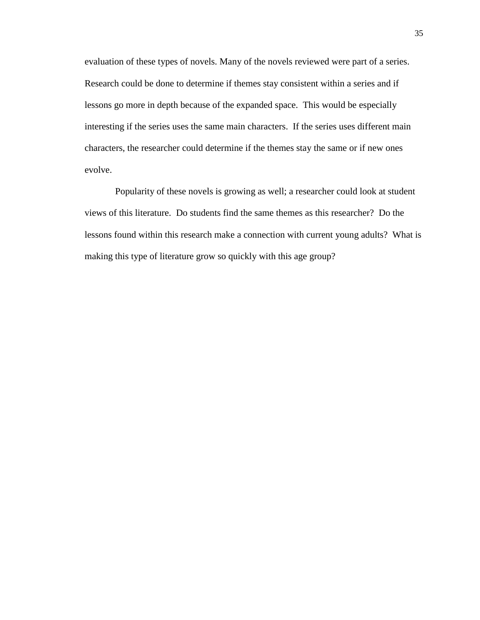evaluation of these types of novels. Many of the novels reviewed were part of a series. Research could be done to determine if themes stay consistent within a series and if lessons go more in depth because of the expanded space. This would be especially interesting if the series uses the same main characters. If the series uses different main characters, the researcher could determine if the themes stay the same or if new ones evolve.

Popularity of these novels is growing as well; a researcher could look at student views of this literature. Do students find the same themes as this researcher? Do the lessons found within this research make a connection with current young adults? What is making this type of literature grow so quickly with this age group?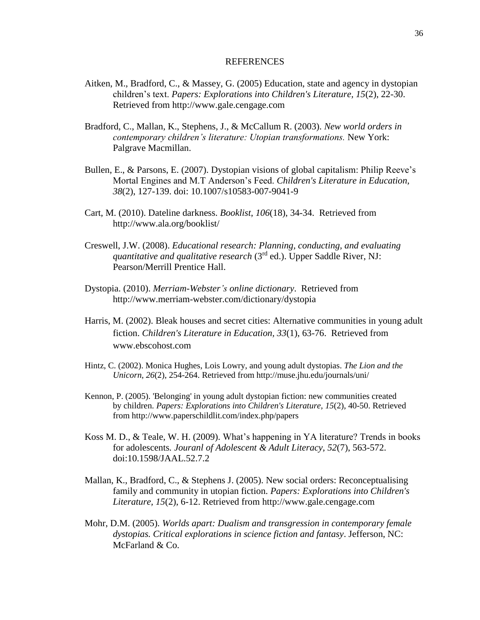#### REFERENCES

- Aitken, M., Bradford, C., & Massey, G. (2005) Education, state and agency in dystopian children's text. *Papers: Explorations into Children's Literature, 15*(2), 22-30. Retrieved from http://www.gale.cengage.com
- Bradford, C., Mallan, K., Stephens, J., & McCallum R. (2003). *New world orders in contemporary children's literature: Utopian transformations.* New York: Palgrave Macmillan.
- Bullen, E., & Parsons, E. (2007). Dystopian visions of global capitalism: Philip Reeve's Mortal Engines and M.T Anderson's Feed. *Children's Literature in Education, 38*(2), 127-139. doi: 10.1007/s10583-007-9041-9
- Cart, M. (2010). Dateline darkness. *Booklist*, *106*(18), 34-34. Retrieved from http://www.ala.org/booklist/
- Creswell, J.W. (2008). *Educational research: Planning, conducting, and evaluating quantitative and qualitative research* (3rd ed.). Upper Saddle River, NJ: Pearson/Merrill Prentice Hall.
- Dystopia. (2010). *Merriam-Webster's online dictionary*. Retrieved from http://www.merriam-webster.com/dictionary/dystopia
- Harris, M. (2002). Bleak houses and secret cities: Alternative communities in young adult fiction. *Children's Literature in Education, 33*(1), 63-76. Retrieved from www.ebscohost.com
- Hintz, C. (2002). Monica Hughes, Lois Lowry, and young adult dystopias. *The Lion and the Unicorn, 26*(2), 254-264. Retrieved from http://muse.jhu.edu/journals/uni/
- Kennon, P. (2005). 'Belonging' in young adult dystopian fiction: new communities created by children. *Papers: Explorations into Children's Literature, 15*(2), 40-50. Retrieved from http://www.paperschildlit.com/index.php/papers
- Koss M. D., & Teale, W. H. (2009). What's happening in YA literature? Trends in books for adolescents*. Jouranl of Adolescent & Adult Literacy, 52*(7), 563-572. doi:10.1598/JAAL.52.7.2
- Mallan, K., Bradford, C., & Stephens J. (2005). New social orders: Reconceptualising family and community in utopian fiction. *Papers: Explorations into Children's Literature, 15*(2), 6-12. Retrieved from http://www.gale.cengage.com
- Mohr, D.M. (2005). *Worlds apart: Dualism and transgression in contemporary female dystopias. Critical explorations in science fiction and fantasy*. Jefferson, NC: McFarland & Co.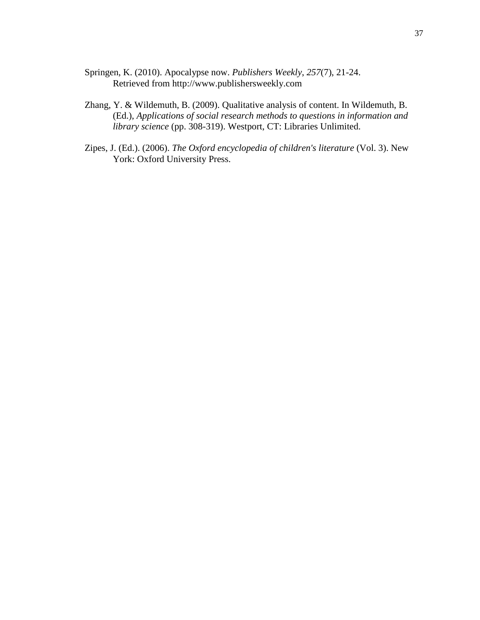- Springen, K. (2010). Apocalypse now. *Publishers Weekly*, *257*(7), 21-24. Retrieved from http://www.publishersweekly.com
- Zhang, Y. & Wildemuth, B. (2009). Qualitative analysis of content. In Wildemuth, B. (Ed.), *Applications of social research methods to questions in information and library science* (pp. 308-319). Westport, CT: Libraries Unlimited.
- Zipes, J. (Ed.). (2006). *The Oxford encyclopedia of children's literature* (Vol. 3). New York: Oxford University Press.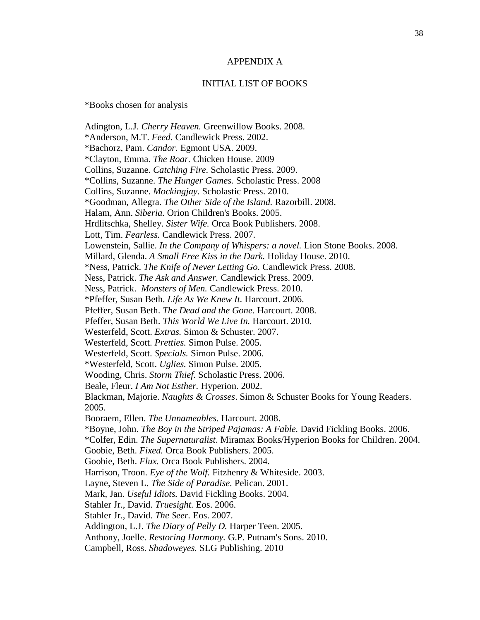### APPENDIX A

### INITIAL LIST OF BOOKS

\*Books chosen for analysis

Adington, L.J. *Cherry Heaven.* Greenwillow Books. 2008. \*Anderson, M.T. *Feed*. Candlewick Press. 2002. \*Bachorz, Pam. *Candor.* Egmont USA. 2009. \*Clayton, Emma. *The Roar.* Chicken House. 2009 Collins, Suzanne. *Catching Fire.* Scholastic Press. 2009. \*Collins, Suzanne. *The Hunger Games.* Scholastic Press. 2008 Collins, Suzanne. *Mockingjay.* Scholastic Press. 2010. \*Goodman, Allegra. *The Other Side of the Island.* Razorbill. 2008. Halam, Ann. *Siberia.* Orion Children's Books. 2005. Hrdlitschka, Shelley. *Sister Wife.* Orca Book Publishers. 2008. Lott, Tim. *Fearless.* Candlewick Press. 2007. Lowenstein, Sallie. *In the Company of Whispers: a novel.* Lion Stone Books. 2008. Millard, Glenda. *A Small Free Kiss in the Dark.* Holiday House. 2010. \*Ness, Patrick. *The Knife of Never Letting Go.* Candlewick Press. 2008. Ness, Patrick. *The Ask and Answer.* Candlewick Press. 2009. Ness, Patrick. *Monsters of Men.* Candlewick Press. 2010. \*Pfeffer, Susan Beth. *Life As We Knew It.* Harcourt. 2006. Pfeffer, Susan Beth. *The Dead and the Gone.* Harcourt. 2008. Pfeffer, Susan Beth. *This World We Live In.* Harcourt. 2010. Westerfeld, Scott. *Extras.* Simon & Schuster. 2007. Westerfeld, Scott. *Pretties.* Simon Pulse. 2005. Westerfeld, Scott. *Specials.* Simon Pulse. 2006. \*Westerfeld, Scott. *Uglies.* Simon Pulse. 2005. Wooding, Chris. *Storm Thief.* Scholastic Press. 2006. Beale, Fleur. *I Am Not Esther.* Hyperion. 2002. Blackman, Majorie. *Naughts & Crosses*. Simon & Schuster Books for Young Readers. 2005. Booraem, Ellen. *The Unnameables.* Harcourt. 2008. \*Boyne, John. *The Boy in the Striped Pajamas: A Fable.* David Fickling Books. 2006. \*Colfer, Edin. *The Supernaturalist*. Miramax Books/Hyperion Books for Children. 2004. Goobie, Beth. *Fixed.* Orca Book Publishers. 2005. Goobie, Beth. *Flux.* Orca Book Publishers. 2004. Harrison, Troon. *Eye of the Wolf.* Fitzhenry & Whiteside. 2003. Layne, Steven L. *The Side of Paradise.* Pelican. 2001. Mark, Jan. *Useful Idiots.* David Fickling Books. 2004. Stahler Jr., David. *Truesight.* Eos. 2006. Stahler Jr., David. *The Seer.* Eos. 2007. Addington, L.J. *The Diary of Pelly D.* Harper Teen. 2005. Anthony, Joelle. *Restoring Harmony.* G.P. Putnam's Sons. 2010. Campbell, Ross. *Shadoweyes.* SLG Publishing. 2010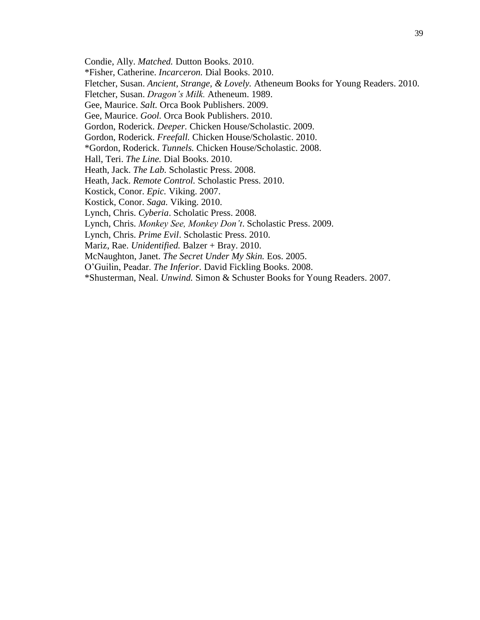Condie, Ally. *Matched.* Dutton Books. 2010.

\*Fisher, Catherine. *Incarceron.* Dial Books. 2010.

Fletcher, Susan. *Ancient, Strange, & Lovely.* Atheneum Books for Young Readers. 2010.

Fletcher, Susan. *Dragon's Milk.* Atheneum. 1989.

Gee, Maurice. *Salt.* Orca Book Publishers. 2009.

Gee, Maurice. *Gool.* Orca Book Publishers. 2010.

Gordon, Roderick. *Deeper.* Chicken House/Scholastic. 2009.

Gordon, Roderick. *Freefall.* Chicken House/Scholastic. 2010.

\*Gordon, Roderick. *Tunnels.* Chicken House/Scholastic. 2008.

Hall, Teri. *The Line.* Dial Books. 2010.

Heath, Jack. *The Lab.* Scholastic Press. 2008.

Heath, Jack. *Remote Control.* Scholastic Press. 2010.

Kostick, Conor. *Epic.* Viking. 2007.

Kostick, Conor. *Saga.* Viking. 2010.

Lynch, Chris. *Cyberia*. Scholatic Press. 2008.

Lynch, Chris. *Monkey See, Monkey Don't*. Scholastic Press. 2009.

Lynch, Chris. *Prime Evil*. Scholastic Press. 2010.

Mariz, Rae. *Unidentified*. Balzer + Bray. 2010.

McNaughton, Janet. *The Secret Under My Skin.* Eos. 2005.

O'Guilin, Peadar. *The Inferior.* David Fickling Books. 2008.

\*Shusterman, Neal. *Unwind.* Simon & Schuster Books for Young Readers. 2007.